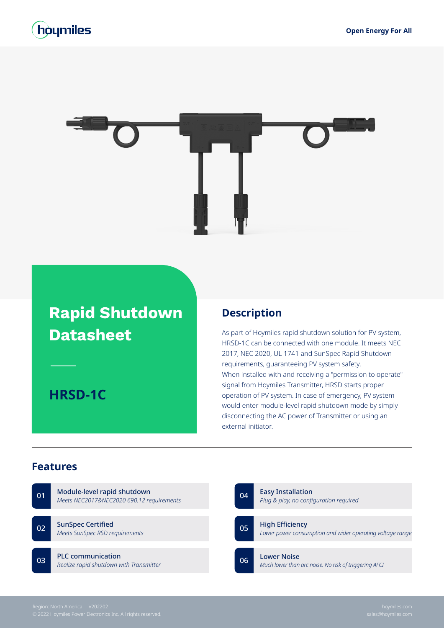## houmiles



# **Rapid Shutdown Datasheet**

**HRSD-1C**

#### **Description**

As part of Hoymiles rapid shutdown solution for PV system, HRSD-1C can be connected with one module. It meets NEC 2017, NEC 2020, UL 1741 and SunSpec Rapid Shutdown requirements, guaranteeing PV system safety. When installed with and receiving a "permission to operate" signal from Hoymiles Transmitter, HRSD starts proper operation of PV system. In case of emergency, PV system would enter module-level rapid shutdown mode by simply disconnecting the AC power of Transmitter or using an external initiator.

#### **Features**

| 01 | Module-level rapid shutdown<br>Meets NEC2017&NEC2020 690.12 requirements |    | 04 | <b>Easy Installation</b><br>Plug & play, no configuration required                  |
|----|--------------------------------------------------------------------------|----|----|-------------------------------------------------------------------------------------|
| 02 | <b>SunSpec Certified</b><br>Meets SunSpec RSD requirements               | 05 |    | <b>High Efficiency</b><br>Lower power consumption and wider operating voltage range |
| 03 | <b>PLC</b> communication<br>Realize rapid shutdown with Transmitter      |    | 06 | <b>Lower Noise</b><br>Much lower than arc noise. No risk of triggering AFCI         |